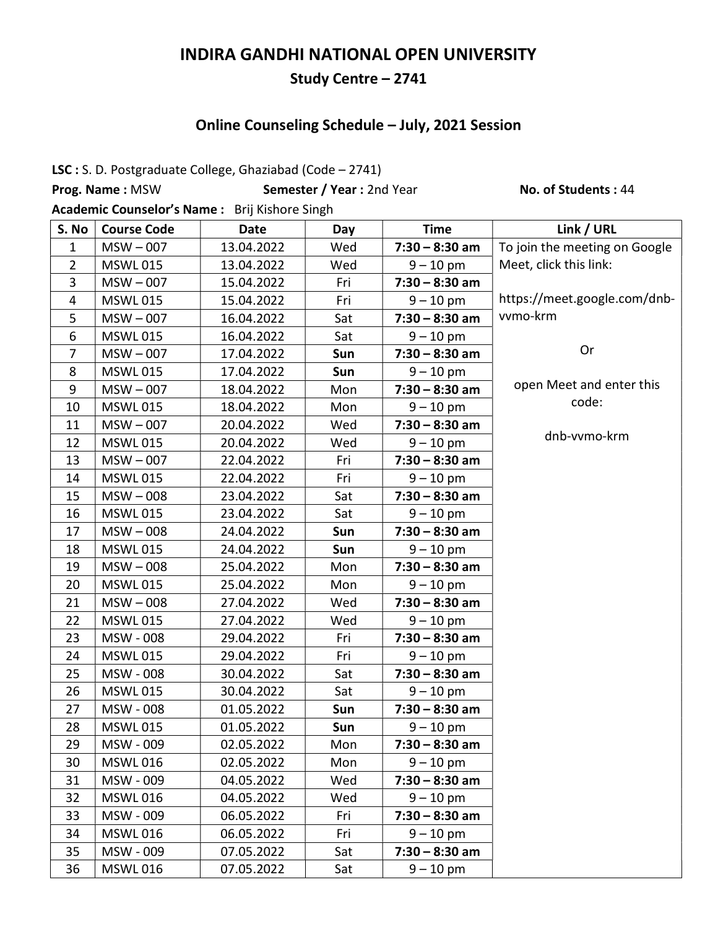# INDIRA GANDHI NATIONAL OPEN UNIVERSITY

#### Study Centre – 2741

# Online Counseling Schedule – July, 2021 Session

LSC : S. D. Postgraduate College, Ghaziabad (Code – 2741)

Prog. Name : MSW Semester / Year : 2nd Year No. of Students : 44

Academic Counselor's Name : Brij Kishore Singh

| S. No          | <b>Course Code</b> | <b>Date</b> | Day | <b>Time</b>      | Link / URL                    |
|----------------|--------------------|-------------|-----|------------------|-------------------------------|
| 1              | $MSW - 007$        | 13.04.2022  | Wed | $7:30 - 8:30$ am | To join the meeting on Google |
| $\overline{2}$ | <b>MSWL 015</b>    | 13.04.2022  | Wed | $9 - 10$ pm      | Meet, click this link:        |
| 3              | $MSW - 007$        | 15.04.2022  | Fri | $7:30 - 8:30$ am |                               |
| $\overline{4}$ | <b>MSWL015</b>     | 15.04.2022  | Fri | $9 - 10$ pm      | https://meet.google.com/dnb-  |
| 5              | $MSW - 007$        | 16.04.2022  | Sat | $7:30 - 8:30$ am | vvmo-krm                      |
| 6              | <b>MSWL 015</b>    | 16.04.2022  | Sat | $9 - 10$ pm      |                               |
| $\overline{7}$ | $MSW - 007$        | 17.04.2022  | Sun | $7:30 - 8:30$ am | Or                            |
| 8              | <b>MSWL015</b>     | 17.04.2022  | Sun | $9 - 10$ pm      |                               |
| 9              | $MSW - 007$        | 18.04.2022  | Mon | $7:30 - 8:30$ am | open Meet and enter this      |
| 10             | <b>MSWL 015</b>    | 18.04.2022  | Mon | $9 - 10$ pm      | code:                         |
| 11             | $MSW - 007$        | 20.04.2022  | Wed | $7:30 - 8:30$ am |                               |
| 12             | <b>MSWL015</b>     | 20.04.2022  | Wed | $9 - 10$ pm      | dnb-vvmo-krm                  |
| 13             | $MSW - 007$        | 22.04.2022  | Fri | $7:30 - 8:30$ am |                               |
| 14             | <b>MSWL 015</b>    | 22.04.2022  | Fri | $9 - 10$ pm      |                               |
| 15             | $MSW - 008$        | 23.04.2022  | Sat | $7:30 - 8:30$ am |                               |
| 16             | <b>MSWL 015</b>    | 23.04.2022  | Sat | $9 - 10$ pm      |                               |
| 17             | $MSW - 008$        | 24.04.2022  | Sun | $7:30 - 8:30$ am |                               |
| 18             | <b>MSWL015</b>     | 24.04.2022  | Sun | $9 - 10$ pm      |                               |
| 19             | $MSW - 008$        | 25.04.2022  | Mon | $7:30 - 8:30$ am |                               |
| 20             | <b>MSWL 015</b>    | 25.04.2022  | Mon | $9 - 10$ pm      |                               |
| 21             | $MSW - 008$        | 27.04.2022  | Wed | $7:30 - 8:30$ am |                               |
| 22             | <b>MSWL 015</b>    | 27.04.2022  | Wed | $9 - 10$ pm      |                               |
| 23             | MSW - 008          | 29.04.2022  | Fri | $7:30 - 8:30$ am |                               |
| 24             | <b>MSWL 015</b>    | 29.04.2022  | Fri | $9 - 10$ pm      |                               |
| 25             | MSW - 008          | 30.04.2022  | Sat | $7:30 - 8:30$ am |                               |
| 26             | <b>MSWL 015</b>    | 30.04.2022  | Sat | $9 - 10$ pm      |                               |
| 27             | MSW - 008          | 01.05.2022  | Sun | $7:30 - 8:30$ am |                               |
| 28             | <b>MSWL 015</b>    | 01.05.2022  | Sun | $9 - 10$ pm      |                               |
| 29             | MSW - 009          | 02.05.2022  | Mon | $7:30 - 8:30$ am |                               |
| 30             | <b>MSWL016</b>     | 02.05.2022  | Mon | $9 - 10$ pm      |                               |
| 31             | MSW - 009          | 04.05.2022  | Wed | $7:30 - 8:30$ am |                               |
| 32             | <b>MSWL016</b>     | 04.05.2022  | Wed | $9 - 10$ pm      |                               |
| 33             | MSW - 009          | 06.05.2022  | Fri | $7:30 - 8:30$ am |                               |
| 34             | <b>MSWL016</b>     | 06.05.2022  | Fri | $9 - 10$ pm      |                               |
| 35             | MSW - 009          | 07.05.2022  | Sat | $7:30 - 8:30$ am |                               |
| 36             | <b>MSWL016</b>     | 07.05.2022  | Sat | $9 - 10$ pm      |                               |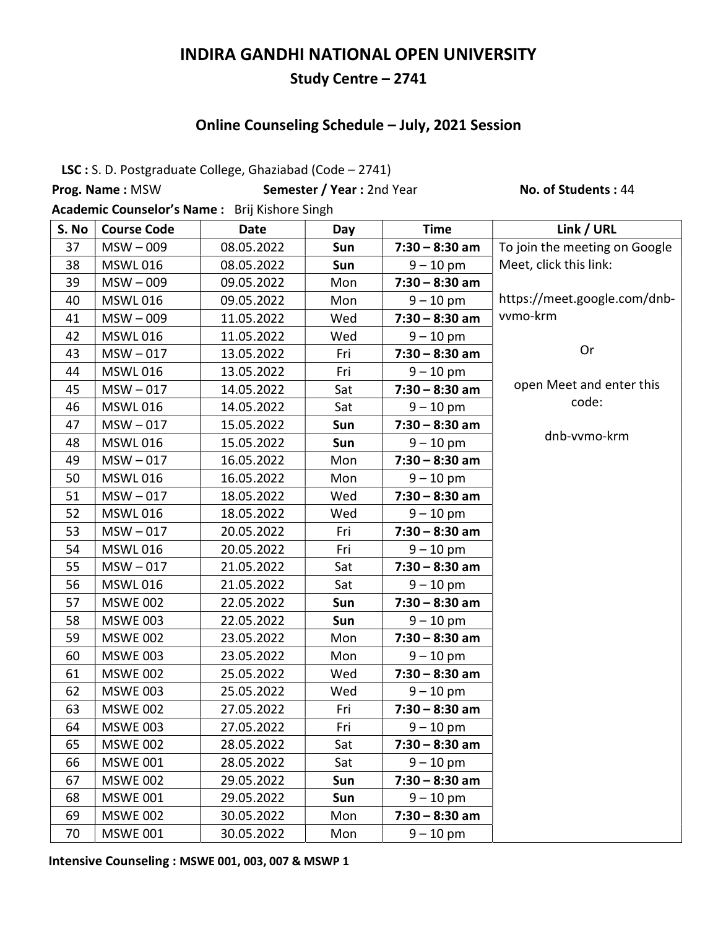# INDIRA GANDHI NATIONAL OPEN UNIVERSITY

#### Study Centre – 2741

### Online Counseling Schedule – July, 2021 Session

LSC : S. D. Postgraduate College, Ghaziabad (Code – 2741)

Prog. Name : MSW Semester / Year : 2nd Year No. of Students : 44

Academic Counselor's Name : Brij Kishore Singh

| S. No | <b>Course Code</b> | <b>Date</b> | Day | <b>Time</b>      | Link / URL                    |
|-------|--------------------|-------------|-----|------------------|-------------------------------|
| 37    | $MSW - 009$        | 08.05.2022  | Sun | $7:30 - 8:30$ am | To join the meeting on Google |
| 38    | <b>MSWL 016</b>    | 08.05.2022  | Sun | $9 - 10$ pm      | Meet, click this link:        |
| 39    | $MSW - 009$        | 09.05.2022  | Mon | $7:30 - 8:30$ am |                               |
| 40    | <b>MSWL016</b>     | 09.05.2022  | Mon | $9 - 10$ pm      | https://meet.google.com/dnb-  |
| 41    | $MSW - 009$        | 11.05.2022  | Wed | $7:30 - 8:30$ am | vvmo-krm                      |
| 42    | <b>MSWL 016</b>    | 11.05.2022  | Wed | $9 - 10$ pm      |                               |
| 43    | $MSW - 017$        | 13.05.2022  | Fri | $7:30 - 8:30$ am | Or                            |
| 44    | <b>MSWL 016</b>    | 13.05.2022  | Fri | $9 - 10$ pm      |                               |
| 45    | $MSW - 017$        | 14.05.2022  | Sat | $7:30 - 8:30$ am | open Meet and enter this      |
| 46    | <b>MSWL 016</b>    | 14.05.2022  | Sat | $9 - 10$ pm      | code:                         |
| 47    | $MSW - 017$        | 15.05.2022  | Sun | $7:30 - 8:30$ am |                               |
| 48    | <b>MSWL 016</b>    | 15.05.2022  | Sun | $9 - 10$ pm      | dnb-vvmo-krm                  |
| 49    | $MSW - 017$        | 16.05.2022  | Mon | $7:30 - 8:30$ am |                               |
| 50    | <b>MSWL016</b>     | 16.05.2022  | Mon | $9 - 10$ pm      |                               |
| 51    | $MSW - 017$        | 18.05.2022  | Wed | $7:30 - 8:30$ am |                               |
| 52    | <b>MSWL 016</b>    | 18.05.2022  | Wed | $9 - 10$ pm      |                               |
| 53    | $MSW - 017$        | 20.05.2022  | Fri | $7:30 - 8:30$ am |                               |
| 54    | <b>MSWL016</b>     | 20.05.2022  | Fri | $9 - 10$ pm      |                               |
| 55    | $MSW - 017$        | 21.05.2022  | Sat | $7:30 - 8:30$ am |                               |
| 56    | <b>MSWL 016</b>    | 21.05.2022  | Sat | $9 - 10$ pm      |                               |
| 57    | <b>MSWE 002</b>    | 22.05.2022  | Sun | $7:30 - 8:30$ am |                               |
| 58    | <b>MSWE 003</b>    | 22.05.2022  | Sun | $9 - 10$ pm      |                               |
| 59    | <b>MSWE 002</b>    | 23.05.2022  | Mon | $7:30 - 8:30$ am |                               |
| 60    | <b>MSWE 003</b>    | 23.05.2022  | Mon | $9 - 10$ pm      |                               |
| 61    | <b>MSWE 002</b>    | 25.05.2022  | Wed | $7:30 - 8:30$ am |                               |
| 62    | <b>MSWE 003</b>    | 25.05.2022  | Wed | $9 - 10$ pm      |                               |
| 63    | <b>MSWE 002</b>    | 27.05.2022  | Fri | $7:30 - 8:30$ am |                               |
| 64    | <b>MSWE 003</b>    | 27.05.2022  | Fri | $9 - 10$ pm      |                               |
| 65    | <b>MSWE 002</b>    | 28.05.2022  | Sat | $7:30 - 8:30$ am |                               |
| 66    | <b>MSWE 001</b>    | 28.05.2022  | Sat | $9 - 10$ pm      |                               |
| 67    | <b>MSWE 002</b>    | 29.05.2022  | Sun | $7:30 - 8:30$ am |                               |
| 68    | <b>MSWE 001</b>    | 29.05.2022  | Sun | $9 - 10$ pm      |                               |
| 69    | <b>MSWE 002</b>    | 30.05.2022  | Mon | $7:30 - 8:30$ am |                               |
| 70    | <b>MSWE 001</b>    | 30.05.2022  | Mon | $9 - 10$ pm      |                               |

Intensive Counseling : MSWE 001, 003, 007 & MSWP 1